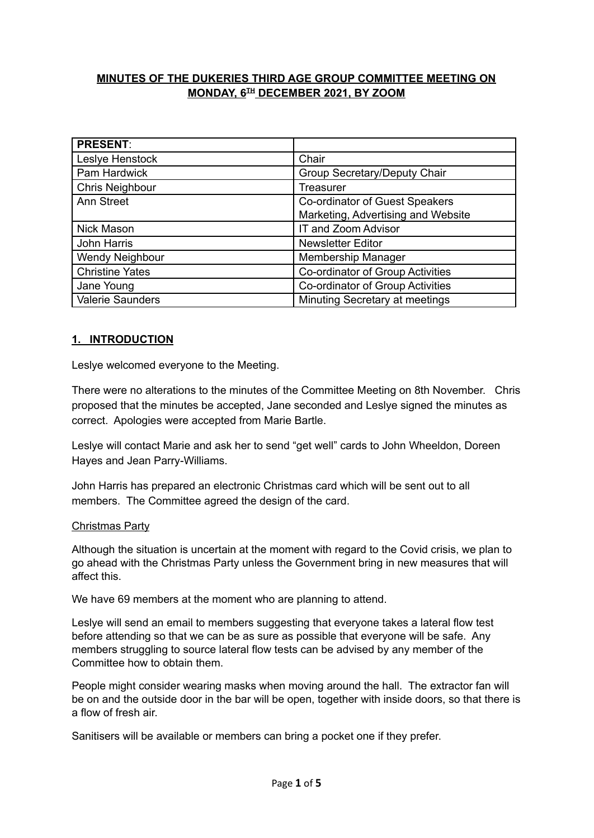# **MINUTES OF THE DUKERIES THIRD AGE GROUP COMMITTEE MEETING ON MONDAY, 6 TH DECEMBER 2021, BY ZOOM**

| <b>PRESENT:</b>        |                                    |
|------------------------|------------------------------------|
| Leslye Henstock        | Chair                              |
| Pam Hardwick           | Group Secretary/Deputy Chair       |
| <b>Chris Neighbour</b> | Treasurer                          |
| <b>Ann Street</b>      | Co-ordinator of Guest Speakers     |
|                        | Marketing, Advertising and Website |
| Nick Mason             | IT and Zoom Advisor                |
| John Harris            | <b>Newsletter Editor</b>           |
| Wendy Neighbour        | <b>Membership Manager</b>          |
| <b>Christine Yates</b> | Co-ordinator of Group Activities   |
| Jane Young             | Co-ordinator of Group Activities   |
| Valerie Saunders       | Minuting Secretary at meetings     |

# **1. INTRODUCTION**

Leslye welcomed everyone to the Meeting.

There were no alterations to the minutes of the Committee Meeting on 8th November. Chris proposed that the minutes be accepted, Jane seconded and Leslye signed the minutes as correct. Apologies were accepted from Marie Bartle.

Leslye will contact Marie and ask her to send "get well" cards to John Wheeldon, Doreen Hayes and Jean Parry-Williams.

John Harris has prepared an electronic Christmas card which will be sent out to all members. The Committee agreed the design of the card.

#### Christmas Party

Although the situation is uncertain at the moment with regard to the Covid crisis, we plan to go ahead with the Christmas Party unless the Government bring in new measures that will affect this.

We have 69 members at the moment who are planning to attend.

Leslye will send an email to members suggesting that everyone takes a lateral flow test before attending so that we can be as sure as possible that everyone will be safe. Any members struggling to source lateral flow tests can be advised by any member of the Committee how to obtain them.

People might consider wearing masks when moving around the hall. The extractor fan will be on and the outside door in the bar will be open, together with inside doors, so that there is a flow of fresh air.

Sanitisers will be available or members can bring a pocket one if they prefer.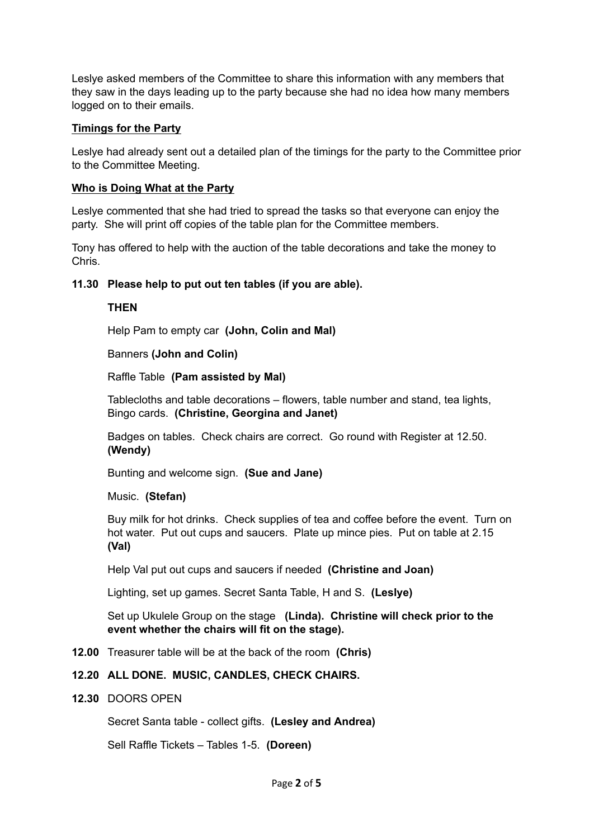Leslye asked members of the Committee to share this information with any members that they saw in the days leading up to the party because she had no idea how many members logged on to their emails.

### **Timings for the Party**

Leslye had already sent out a detailed plan of the timings for the party to the Committee prior to the Committee Meeting.

### **Who is Doing What at the Party**

Leslye commented that she had tried to spread the tasks so that everyone can enjoy the party. She will print off copies of the table plan for the Committee members.

Tony has offered to help with the auction of the table decorations and take the money to Chris.

# **11.30 Please help to put out ten tables (if you are able).**

#### **THEN**

Help Pam to empty car **(John, Colin and Mal)**

# Banners **(John and Colin)**

Raffle Table **(Pam assisted by Mal)**

Tablecloths and table decorations – flowers, table number and stand, tea lights, Bingo cards. **(Christine, Georgina and Janet)**

Badges on tables. Check chairs are correct. Go round with Register at 12.50. **(Wendy)**

Bunting and welcome sign. **(Sue and Jane)**

#### Music. **(Stefan)**

Buy milk for hot drinks. Check supplies of tea and coffee before the event. Turn on hot water. Put out cups and saucers. Plate up mince pies. Put on table at 2.15 **(Val)**

Help Val put out cups and saucers if needed **(Christine and Joan)**

Lighting, set up games. Secret Santa Table, H and S. **(Leslye)**

Set up Ukulele Group on the stage **(Linda). Christine will check prior to the event whether the chairs will fit on the stage).**

**12.00** Treasurer table will be at the back of the room **(Chris)**

#### **12.20 ALL DONE. MUSIC, CANDLES, CHECK CHAIRS.**

**12.30** DOORS OPEN

Secret Santa table - collect gifts. **(Lesley and Andrea)**

Sell Raffle Tickets – Tables 1-5. **(Doreen)**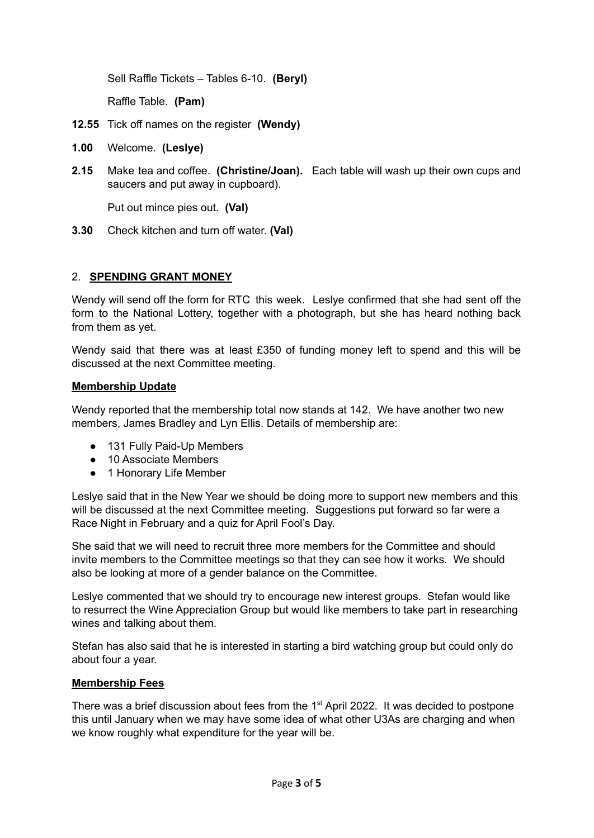Sell Raffle Tickets – Tables 6-10. **(Beryl)**

Raffle Table. **(Pam)**

- **12.55** Tick off names on the register **(Wendy)**
- **1.00** Welcome. **(Leslye)**
- **2.15** Make tea and coffee. **(Christine/Joan).** Each table will wash up their own cups and saucers and put away in cupboard).

Put out mince pies out. **(Val)**

**3.30** Check kitchen and turn off water. **(Val)**

#### 2. **SPENDING GRANT MONEY**

Wendy will send off the form for RTC this week. Leslye confirmed that she had sent off the form to the National Lottery, together with a photograph, but she has heard nothing back from them as yet.

Wendy said that there was at least £350 of funding money left to spend and this will be discussed at the next Committee meeting.

#### **Membership Update**

Wendy reported that the membership total now stands at 142. We have another two new members, James Bradley and Lyn Ellis. Details of membership are:

- 131 Fully Paid-Up Members
- 10 Associate Members
- 1 Honorary Life Member

Leslye said that in the New Year we should be doing more to support new members and this will be discussed at the next Committee meeting. Suggestions put forward so far were a Race Night in February and a quiz for April Fool's Day.

She said that we will need to recruit three more members for the Committee and should invite members to the Committee meetings so that they can see how it works. We should also be looking at more of a gender balance on the Committee.

Leslye commented that we should try to encourage new interest groups. Stefan would like to resurrect the Wine Appreciation Group but would like members to take part in researching wines and talking about them.

Stefan has also said that he is interested in starting a bird watching group but could only do about four a year.

#### **Membership Fees**

There was a brief discussion about fees from the  $1<sup>st</sup>$  April 2022. It was decided to postpone this until January when we may have some idea of what other U3As are charging and when we know roughly what expenditure for the year will be.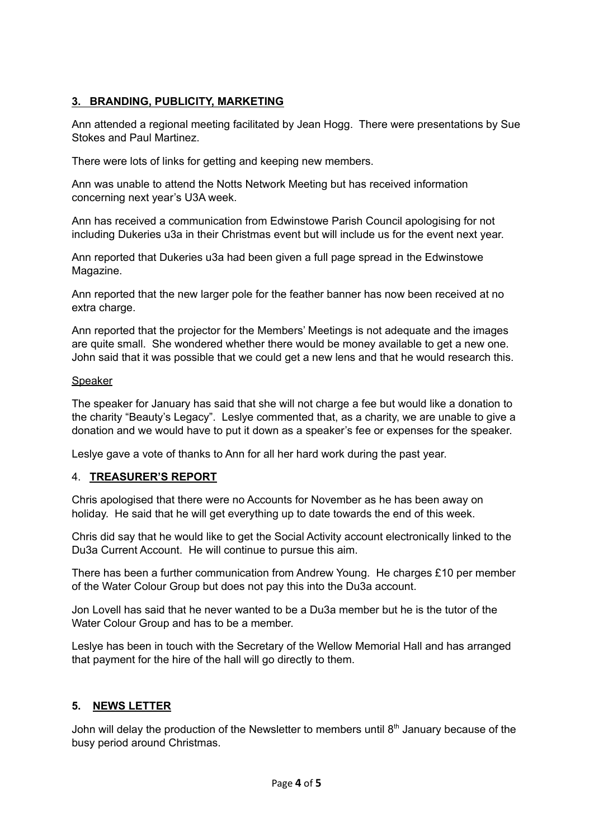# **3. BRANDING, PUBLICITY, MARKETING**

Ann attended a regional meeting facilitated by Jean Hogg. There were presentations by Sue Stokes and Paul Martinez.

There were lots of links for getting and keeping new members.

Ann was unable to attend the Notts Network Meeting but has received information concerning next year's U3A week.

Ann has received a communication from Edwinstowe Parish Council apologising for not including Dukeries u3a in their Christmas event but will include us for the event next year.

Ann reported that Dukeries u3a had been given a full page spread in the Edwinstowe Magazine.

Ann reported that the new larger pole for the feather banner has now been received at no extra charge.

Ann reported that the projector for the Members' Meetings is not adequate and the images are quite small. She wondered whether there would be money available to get a new one. John said that it was possible that we could get a new lens and that he would research this.

#### Speaker

The speaker for January has said that she will not charge a fee but would like a donation to the charity "Beauty's Legacy". Leslye commented that, as a charity, we are unable to give a donation and we would have to put it down as a speaker's fee or expenses for the speaker.

Leslye gave a vote of thanks to Ann for all her hard work during the past year.

#### 4. **TREASURER'S REPORT**

Chris apologised that there were no Accounts for November as he has been away on holiday. He said that he will get everything up to date towards the end of this week.

Chris did say that he would like to get the Social Activity account electronically linked to the Du3a Current Account. He will continue to pursue this aim.

There has been a further communication from Andrew Young. He charges £10 per member of the Water Colour Group but does not pay this into the Du3a account.

Jon Lovell has said that he never wanted to be a Du3a member but he is the tutor of the Water Colour Group and has to be a member.

Leslye has been in touch with the Secretary of the Wellow Memorial Hall and has arranged that payment for the hire of the hall will go directly to them.

#### **5. NEWS LETTER**

John will delay the production of the Newsletter to members until  $8<sup>th</sup>$  January because of the busy period around Christmas.